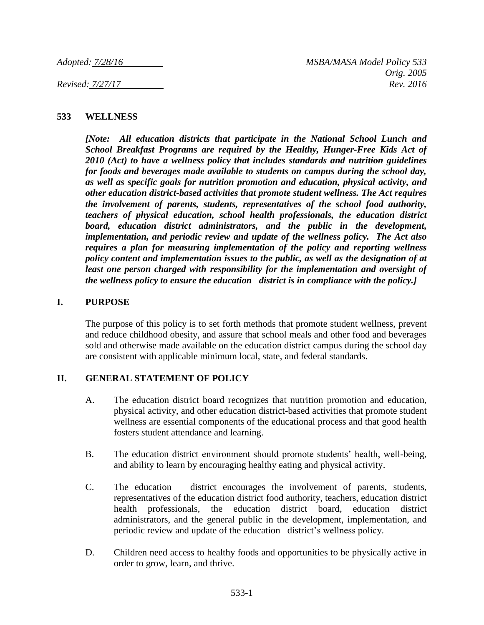#### **533 WELLNESS**

*[Note: All education districts that participate in the National School Lunch and School Breakfast Programs are required by the Healthy, Hunger-Free Kids Act of 2010 (Act) to have a wellness policy that includes standards and nutrition guidelines for foods and beverages made available to students on campus during the school day, as well as specific goals for nutrition promotion and education, physical activity, and other education district-based activities that promote student wellness. The Act requires the involvement of parents, students, representatives of the school food authority, teachers of physical education, school health professionals, the education district board, education district administrators, and the public in the development, implementation, and periodic review and update of the wellness policy. The Act also requires a plan for measuring implementation of the policy and reporting wellness policy content and implementation issues to the public, as well as the designation of at least one person charged with responsibility for the implementation and oversight of the wellness policy to ensure the education district is in compliance with the policy.]*

#### **I. PURPOSE**

The purpose of this policy is to set forth methods that promote student wellness, prevent and reduce childhood obesity, and assure that school meals and other food and beverages sold and otherwise made available on the education district campus during the school day are consistent with applicable minimum local, state, and federal standards.

## **II. GENERAL STATEMENT OF POLICY**

- A. The education district board recognizes that nutrition promotion and education, physical activity, and other education district-based activities that promote student wellness are essential components of the educational process and that good health fosters student attendance and learning.
- B. The education district environment should promote students' health, well-being, and ability to learn by encouraging healthy eating and physical activity.
- C. The education district encourages the involvement of parents, students, representatives of the education district food authority, teachers, education district health professionals, the education district board, education district administrators, and the general public in the development, implementation, and periodic review and update of the education district's wellness policy.
- D. Children need access to healthy foods and opportunities to be physically active in order to grow, learn, and thrive.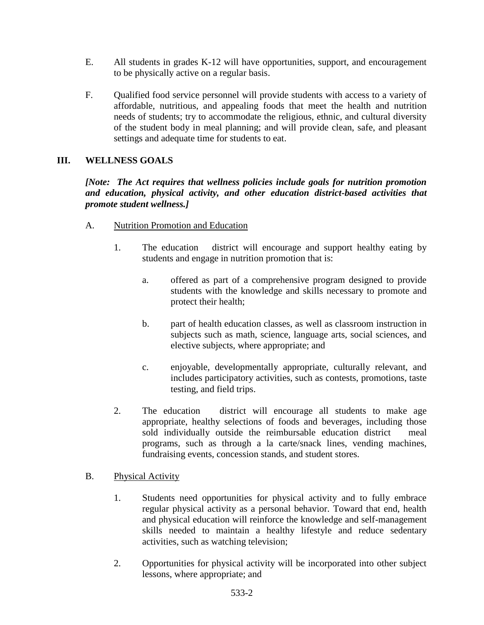- E. All students in grades K-12 will have opportunities, support, and encouragement to be physically active on a regular basis.
- F. Qualified food service personnel will provide students with access to a variety of affordable, nutritious, and appealing foods that meet the health and nutrition needs of students; try to accommodate the religious, ethnic, and cultural diversity of the student body in meal planning; and will provide clean, safe, and pleasant settings and adequate time for students to eat.

## **III. WELLNESS GOALS**

*[Note: The Act requires that wellness policies include goals for nutrition promotion and education, physical activity, and other education district-based activities that promote student wellness.]*

- A. Nutrition Promotion and Education
	- 1. The education district will encourage and support healthy eating by students and engage in nutrition promotion that is:
		- a. offered as part of a comprehensive program designed to provide students with the knowledge and skills necessary to promote and protect their health;
		- b. part of health education classes, as well as classroom instruction in subjects such as math, science, language arts, social sciences, and elective subjects, where appropriate; and
		- c. enjoyable, developmentally appropriate, culturally relevant, and includes participatory activities, such as contests, promotions, taste testing, and field trips.
	- 2. The education district will encourage all students to make age appropriate, healthy selections of foods and beverages, including those sold individually outside the reimbursable education district meal programs, such as through a la carte/snack lines, vending machines, fundraising events, concession stands, and student stores.

## B. Physical Activity

- 1. Students need opportunities for physical activity and to fully embrace regular physical activity as a personal behavior. Toward that end, health and physical education will reinforce the knowledge and self-management skills needed to maintain a healthy lifestyle and reduce sedentary activities, such as watching television;
- 2. Opportunities for physical activity will be incorporated into other subject lessons, where appropriate; and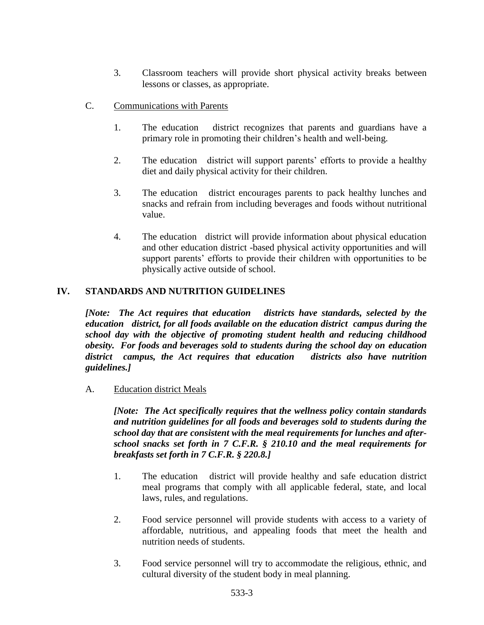- 3. Classroom teachers will provide short physical activity breaks between lessons or classes, as appropriate.
- C. Communications with Parents
	- 1. The education district recognizes that parents and guardians have a primary role in promoting their children's health and well-being.
	- 2. The education district will support parents' efforts to provide a healthy diet and daily physical activity for their children.
	- 3. The education district encourages parents to pack healthy lunches and snacks and refrain from including beverages and foods without nutritional value.
	- 4. The education district will provide information about physical education and other education district -based physical activity opportunities and will support parents' efforts to provide their children with opportunities to be physically active outside of school.

## **IV. STANDARDS AND NUTRITION GUIDELINES**

*[Note: The Act requires that education districts have standards, selected by the education district, for all foods available on the education district campus during the school day with the objective of promoting student health and reducing childhood obesity. For foods and beverages sold to students during the school day on education district campus, the Act requires that education districts also have nutrition guidelines.]*

#### A. Education district Meals

*[Note: The Act specifically requires that the wellness policy contain standards and nutrition guidelines for all foods and beverages sold to students during the school day that are consistent with the meal requirements for lunches and afterschool snacks set forth in 7 C.F.R. § 210.10 and the meal requirements for breakfasts set forth in 7 C.F.R. § 220.8.]*

- 1. The education district will provide healthy and safe education district meal programs that comply with all applicable federal, state, and local laws, rules, and regulations.
- 2. Food service personnel will provide students with access to a variety of affordable, nutritious, and appealing foods that meet the health and nutrition needs of students.
- 3. Food service personnel will try to accommodate the religious, ethnic, and cultural diversity of the student body in meal planning.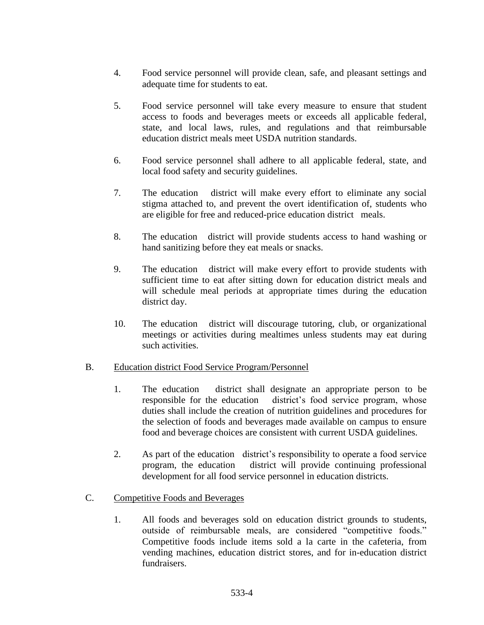- 4. Food service personnel will provide clean, safe, and pleasant settings and adequate time for students to eat.
- 5. Food service personnel will take every measure to ensure that student access to foods and beverages meets or exceeds all applicable federal, state, and local laws, rules, and regulations and that reimbursable education district meals meet USDA nutrition standards.
- 6. Food service personnel shall adhere to all applicable federal, state, and local food safety and security guidelines.
- 7. The education district will make every effort to eliminate any social stigma attached to, and prevent the overt identification of, students who are eligible for free and reduced-price education district meals.
- 8. The education district will provide students access to hand washing or hand sanitizing before they eat meals or snacks.
- 9. The education district will make every effort to provide students with sufficient time to eat after sitting down for education district meals and will schedule meal periods at appropriate times during the education district day.
- 10. The education district will discourage tutoring, club, or organizational meetings or activities during mealtimes unless students may eat during such activities.

#### B. Education district Food Service Program/Personnel

- 1. The education district shall designate an appropriate person to be responsible for the education district's food service program, whose duties shall include the creation of nutrition guidelines and procedures for the selection of foods and beverages made available on campus to ensure food and beverage choices are consistent with current USDA guidelines.
- 2. As part of the education district's responsibility to operate a food service program, the education district will provide continuing professional development for all food service personnel in education districts.
- C. Competitive Foods and Beverages
	- 1. All foods and beverages sold on education district grounds to students, outside of reimbursable meals, are considered "competitive foods." Competitive foods include items sold a la carte in the cafeteria, from vending machines, education district stores, and for in-education district fundraisers.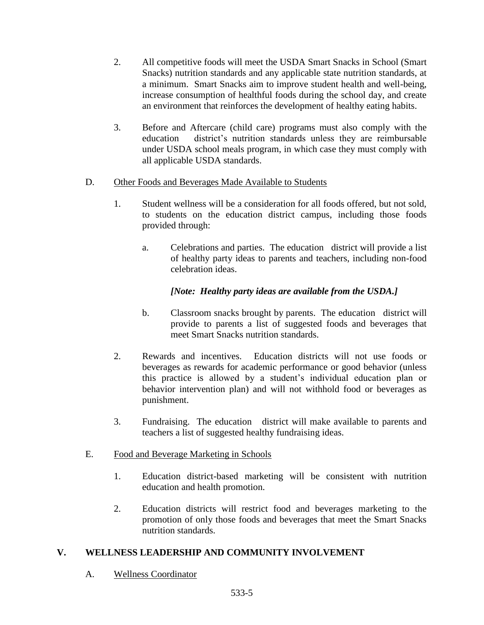- 2. All competitive foods will meet the USDA Smart Snacks in School (Smart Snacks) nutrition standards and any applicable state nutrition standards, at a minimum. Smart Snacks aim to improve student health and well-being, increase consumption of healthful foods during the school day, and create an environment that reinforces the development of healthy eating habits.
- 3. Before and Aftercare (child care) programs must also comply with the education district's nutrition standards unless they are reimbursable under USDA school meals program, in which case they must comply with all applicable USDA standards.
- D. Other Foods and Beverages Made Available to Students
	- 1. Student wellness will be a consideration for all foods offered, but not sold, to students on the education district campus, including those foods provided through:
		- a. Celebrations and parties. The education district will provide a list of healthy party ideas to parents and teachers, including non-food celebration ideas.

# *[Note: Healthy party ideas are available from the USDA.]*

- b. Classroom snacks brought by parents. The education district will provide to parents a list of suggested foods and beverages that meet Smart Snacks nutrition standards.
- 2. Rewards and incentives. Education districts will not use foods or beverages as rewards for academic performance or good behavior (unless this practice is allowed by a student's individual education plan or behavior intervention plan) and will not withhold food or beverages as punishment.
- 3. Fundraising. The education district will make available to parents and teachers a list of suggested healthy fundraising ideas.

## E. Food and Beverage Marketing in Schools

- 1. Education district-based marketing will be consistent with nutrition education and health promotion.
- 2. Education districts will restrict food and beverages marketing to the promotion of only those foods and beverages that meet the Smart Snacks nutrition standards.

# **V. WELLNESS LEADERSHIP AND COMMUNITY INVOLVEMENT**

A. Wellness Coordinator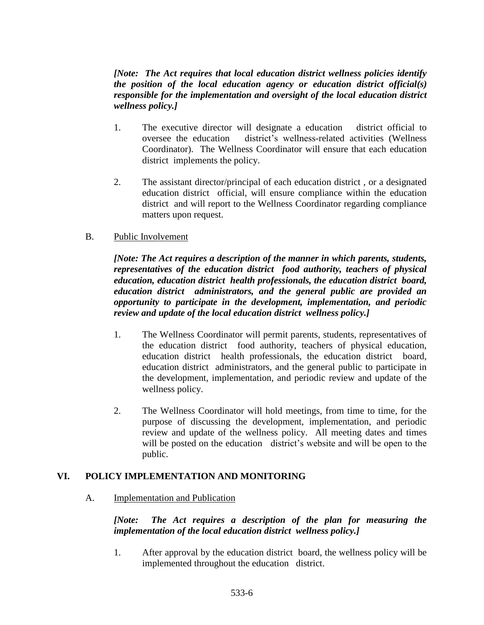### *[Note: The Act requires that local education district wellness policies identify the position of the local education agency or education district official(s) responsible for the implementation and oversight of the local education district wellness policy.]*

- 1. The executive director will designate a education district official to oversee the education district's wellness-related activities (Wellness Coordinator). The Wellness Coordinator will ensure that each education district implements the policy.
- 2. The assistant director/principal of each education district , or a designated education district official, will ensure compliance within the education district and will report to the Wellness Coordinator regarding compliance matters upon request.

### B. Public Involvement

*[Note: The Act requires a description of the manner in which parents, students, representatives of the education district food authority, teachers of physical education, education district health professionals, the education district board, education district administrators, and the general public are provided an opportunity to participate in the development, implementation, and periodic review and update of the local education district wellness policy.]*

- 1. The Wellness Coordinator will permit parents, students, representatives of the education district food authority, teachers of physical education, education district health professionals, the education district board, education district administrators, and the general public to participate in the development, implementation, and periodic review and update of the wellness policy.
- 2. The Wellness Coordinator will hold meetings, from time to time, for the purpose of discussing the development, implementation, and periodic review and update of the wellness policy. All meeting dates and times will be posted on the education district's website and will be open to the public.

#### **VI. POLICY IMPLEMENTATION AND MONITORING**

#### A. Implementation and Publication

*[Note: The Act requires a description of the plan for measuring the implementation of the local education district wellness policy.]*

1. After approval by the education district board, the wellness policy will be implemented throughout the education district.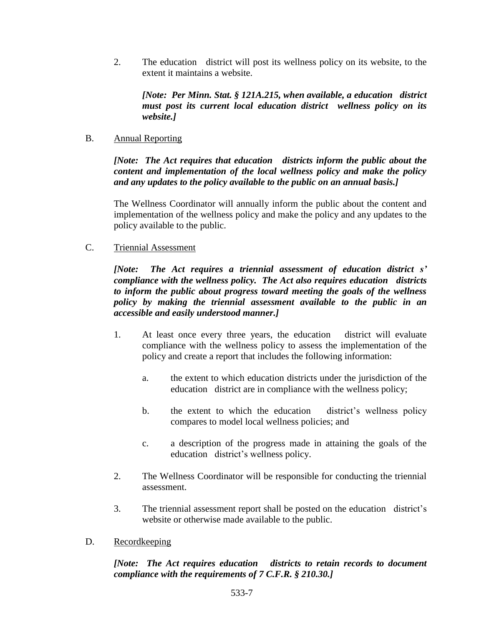2. The education district will post its wellness policy on its website, to the extent it maintains a website.

*[Note: Per Minn. Stat. § 121A.215, when available, a education district must post its current local education district wellness policy on its website.]*

#### B. Annual Reporting

*[Note: The Act requires that education districts inform the public about the content and implementation of the local wellness policy and make the policy and any updates to the policy available to the public on an annual basis.]*

The Wellness Coordinator will annually inform the public about the content and implementation of the wellness policy and make the policy and any updates to the policy available to the public.

C. Triennial Assessment

*[Note: The Act requires a triennial assessment of education district s' compliance with the wellness policy. The Act also requires education districts to inform the public about progress toward meeting the goals of the wellness policy by making the triennial assessment available to the public in an accessible and easily understood manner.]*

- 1. At least once every three years, the education district will evaluate compliance with the wellness policy to assess the implementation of the policy and create a report that includes the following information:
	- a. the extent to which education districts under the jurisdiction of the education district are in compliance with the wellness policy;
	- b. the extent to which the education district's wellness policy compares to model local wellness policies; and
	- c. a description of the progress made in attaining the goals of the education district's wellness policy.
- 2. The Wellness Coordinator will be responsible for conducting the triennial assessment.
- 3. The triennial assessment report shall be posted on the education district's website or otherwise made available to the public.
- D. Recordkeeping

## *[Note: The Act requires education districts to retain records to document compliance with the requirements of 7 C.F.R. § 210.30.]*